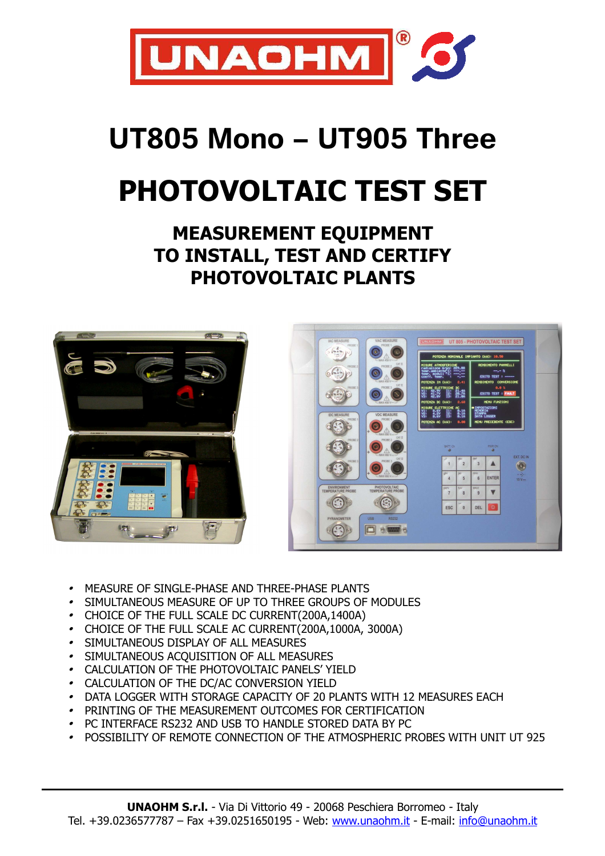

## **UT805 Mono – UT905 Three**

# **PHOTOVOLTAIC TEST SET**

### **MEASUREMENT EQUIPMENT TO INSTALL, TEST AND CERTIFY PHOTOVOLTAIC PLANTS**





- •MEASURE OF SINGLE-PHASE AND THREE-PHASE PLANTS
- •SIMULTANEOUS MEASURE OF UP TO THREE GROUPS OF MODULES
- •CHOICE OF THE FULL SCALE DC CURRENT(200A,1400A)
- CHOICE OF THE FULL SCALE AC CURRENT(200A,1000A, 3000A)
- SIMULTANEOUS DISPLAY OF ALL MEASURES
- SIMULTANEOUS ACQUISITION OF ALL MEASURES
- CALCULATION OF THE PHOTOVOLTAIC PANELS' YIELD
- CALCULATION OF THE DC/AC CONVERSION YIELD
- DATA LOGGER WITH STORAGE CAPACITY OF 20 PLANTS WITH 12 MEASURES EACH
- PRINTING OF THE MEASUREMENT OUTCOMES FOR CERTIFICATION
- PC INTERFACE RS232 AND USB TO HANDLE STORED DATA BY PC
- POSSIBILITY OF REMOTE CONNECTION OF THE ATMOSPHERIC PROBES WITH UNIT UT 925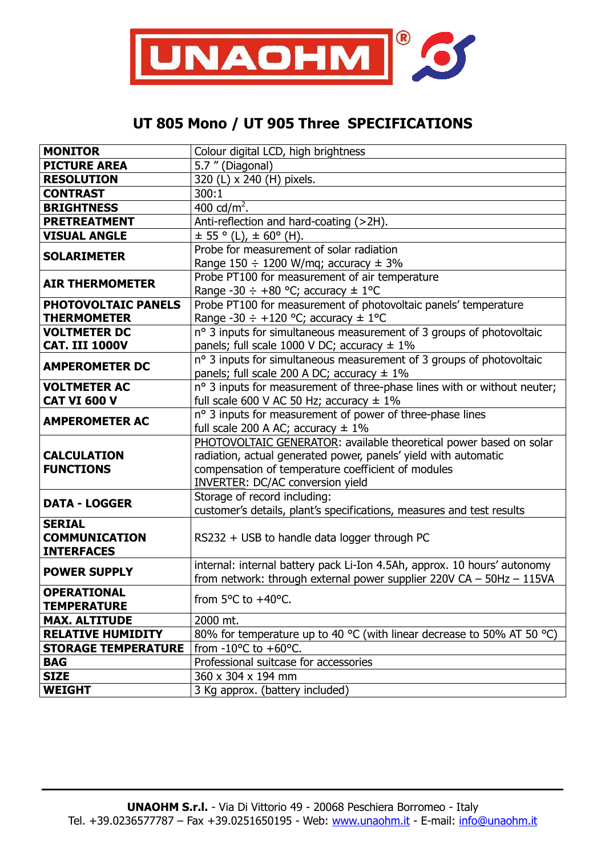

### **UT 805 Mono / UT 905 Three SPECIFICATIONS**

| <b>MONITOR</b>                            | Colour digital LCD, high brightness                                      |
|-------------------------------------------|--------------------------------------------------------------------------|
| <b>PICTURE AREA</b>                       | 5.7" (Diagonal)                                                          |
| <b>RESOLUTION</b>                         | 320 (L) x 240 (H) pixels.                                                |
| <b>CONTRAST</b>                           | 300:1                                                                    |
| <b>BRIGHTNESS</b>                         | 400 cd/ $m^2$ .                                                          |
| <b>PRETREATMENT</b>                       | Anti-reflection and hard-coating (>2H).                                  |
| <b>VISUAL ANGLE</b>                       | $\pm$ 55 ° (L), $\pm$ 60° (H).                                           |
| <b>SOLARIMETER</b>                        | Probe for measurement of solar radiation                                 |
|                                           | Range $150 \div 1200$ W/mq; accuracy $\pm 3\%$                           |
| <b>AIR THERMOMETER</b>                    | Probe PT100 for measurement of air temperature                           |
|                                           | Range -30 $\div$ +80 °C; accuracy $\pm$ 1°C                              |
| PHOTOVOLTAIC PANELS                       | Probe PT100 for measurement of photovoltaic panels' temperature          |
| <b>THERMOMETER</b>                        | Range -30 $\div$ +120 °C; accuracy $\pm$ 1°C                             |
| <b>VOLTMETER DC</b>                       | nº 3 inputs for simultaneous measurement of 3 groups of photovoltaic     |
| <b>CAT. III 1000V</b>                     | panels; full scale 1000 V DC; accuracy $\pm$ 1%                          |
| <b>AMPEROMETER DC</b>                     | nº 3 inputs for simultaneous measurement of 3 groups of photovoltaic     |
|                                           | panels; full scale 200 A DC; accuracy $\pm$ 1%                           |
| <b>VOLTMETER AC</b>                       | n° 3 inputs for measurement of three-phase lines with or without neuter; |
| <b>CAT VI 600 V</b>                       | full scale 600 V AC 50 Hz; accuracy $\pm$ 1%                             |
| <b>AMPEROMETER AC</b>                     | nº 3 inputs for measurement of power of three-phase lines                |
|                                           | full scale 200 A AC; accuracy $\pm$ 1%                                   |
| <b>CALCULATION</b>                        | PHOTOVOLTAIC GENERATOR: available theoretical power based on solar       |
|                                           | radiation, actual generated power, panels' yield with automatic          |
| <b>FUNCTIONS</b>                          | compensation of temperature coefficient of modules                       |
|                                           | <b>INVERTER: DC/AC conversion yield</b>                                  |
| <b>DATA - LOGGER</b>                      | Storage of record including:                                             |
|                                           | customer's details, plant's specifications, measures and test results    |
| <b>SERIAL</b>                             |                                                                          |
| <b>COMMUNICATION</b><br><b>INTERFACES</b> | RS232 + USB to handle data logger through PC                             |
|                                           | internal: internal battery pack Li-Ion 4.5Ah, approx. 10 hours' autonomy |
| <b>POWER SUPPLY</b>                       | from network: through external power supplier $220V CA - 50Hz - 115VA$   |
| <b>OPERATIONAL</b>                        | from 5°C to +40°C.                                                       |
| <b>TEMPERATURE</b>                        |                                                                          |
| <b>MAX. ALTITUDE</b>                      | 2000 mt.                                                                 |
| <b>RELATIVE HUMIDITY</b>                  | 80% for temperature up to 40 °C (with linear decrease to 50% AT 50 °C)   |
| <b>STORAGE TEMPERATURE</b>                | from -10 $^{\circ}$ C to +60 $^{\circ}$ C.                               |
| <b>BAG</b>                                | Professional suitcase for accessories                                    |
| <b>SIZE</b>                               | 360 x 304 x 194 mm                                                       |
| <b>WEIGHT</b>                             | 3 Kg approx. (battery included)                                          |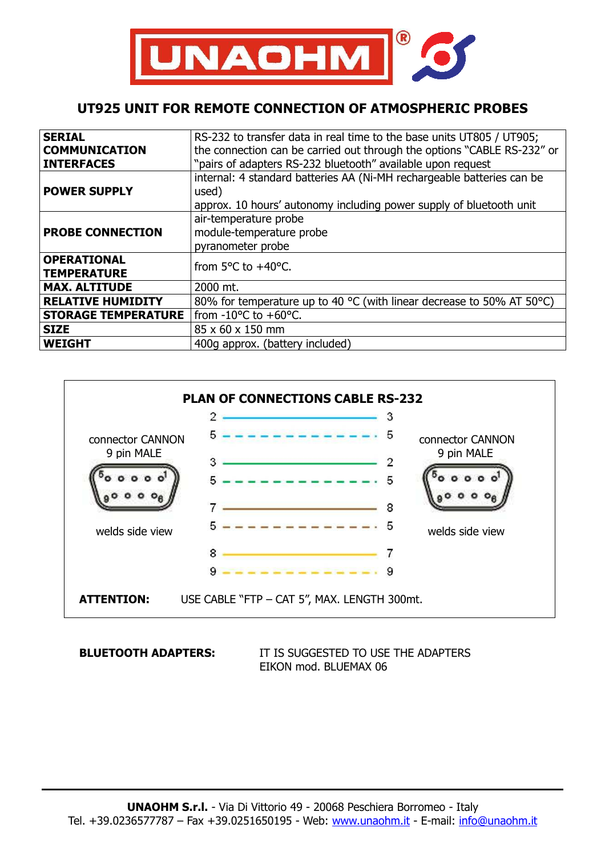

#### **UT925 UNIT FOR REMOTE CONNECTION OF ATMOSPHERIC PROBES**

| <b>SERIAL</b>              | RS-232 to transfer data in real time to the base units UT805 / UT905;   |
|----------------------------|-------------------------------------------------------------------------|
|                            |                                                                         |
| <b>COMMUNICATION</b>       | the connection can be carried out through the options "CABLE RS-232" or |
| <b>INTERFACES</b>          | "pairs of adapters RS-232 bluetooth" available upon request             |
|                            | internal: 4 standard batteries AA (Ni-MH rechargeable batteries can be  |
| <b>POWER SUPPLY</b>        | used)                                                                   |
|                            | approx. 10 hours' autonomy including power supply of bluetooth unit     |
| <b>PROBE CONNECTION</b>    | air-temperature probe                                                   |
|                            | module-temperature probe                                                |
|                            | pyranometer probe                                                       |
| <b>OPERATIONAL</b>         | from $5^{\circ}$ C to $+40^{\circ}$ C.                                  |
| <b>TEMPERATURE</b>         |                                                                         |
| <b>MAX. ALTITUDE</b>       | 2000 mt.                                                                |
| <b>RELATIVE HUMIDITY</b>   | 80% for temperature up to 40 °C (with linear decrease to 50% AT 50°C)   |
| <b>STORAGE TEMPERATURE</b> | from $-10^{\circ}$ C to $+60^{\circ}$ C.                                |
| <b>SIZE</b>                | 85 x 60 x 150 mm                                                        |
| <b>WEIGHT</b>              | 400g approx. (battery included)                                         |



**BLUETOOTH ADAPTERS:** IT IS SUGGESTED TO USE THE ADAPTERS EIKON mod. BLUEMAX 06